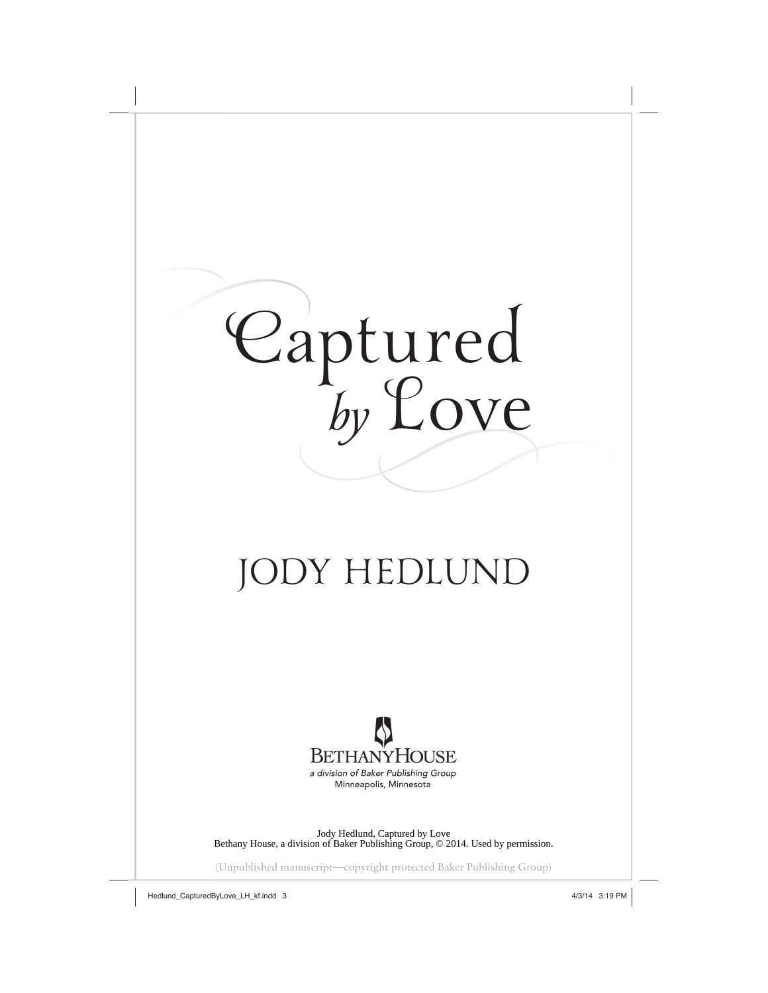# Captured *by* Love

# JODY HEDLUND



Jody Hedlund, Captured by Love Bethany House, a division of Baker Publishing Group, © 2014. Used by permission.

(Unpublished manuscript—copyright protected Baker Publishing Group)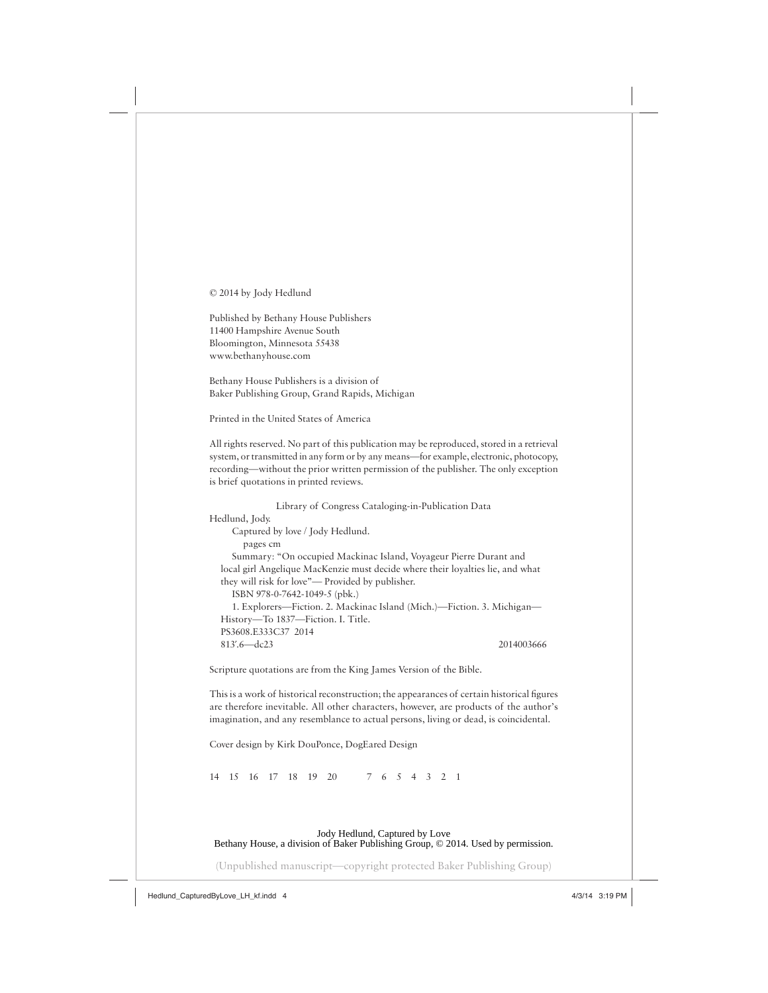© 2014 by Jody Hedlund

Published by Bethany House Publishers 11400 Hampshire Avenue South Bloomington, Minnesota 55438 www.bethanyhouse.com

Bethany House Publishers is a division of Baker Publishing Group, Grand Rapids, Michigan

Printed in the United States of America

All rights reserved. No part of this publication may be reproduced, stored in a retrieval system, or transmitted in any form or by any means—for example, electronic, photocopy, recording—without the prior written permission of the publisher. The only exception is brief quotations in printed reviews.

Library of Congress Cataloging-in-Publication Data Hedlund, Jody. Captured by love / Jody Hedlund. pages cm Summary: "On occupied Mackinac Island, Voyageur Pierre Durant and local girl Angelique MacKenzie must decide where their loyalties lie, and what they will risk for love"— Provided by publisher. ISBN 978-0-7642-1049-5 (pbk.) 1. Explorers—Fiction. 2. Mackinac Island (Mich.)—Fiction. 3. Michigan— History—To 1837—Fiction. I. Title. PS3608.E333C37 2014 813′ 6—dc<sup>23</sup> 2014003666

Scripture quotations are from the King James Version of the Bible.

This is a work of historical reconstruction; the appearances of certain historical figures are therefore inevitable. All other characters, however, are products of the author's imagination, and any resemblance to actual persons, living or dead, is coincidental.

Cover design by Kirk DouPonce, DogEared Design

14 15 16 17 18 19 20 7 6 5 4 3 2 1

### Jody Hedlund, Captured by Love Bethany House, a division of Baker Publishing Group, © 2014. Used by permission.

(Unpublished manuscript—copyright protected Baker Publishing Group)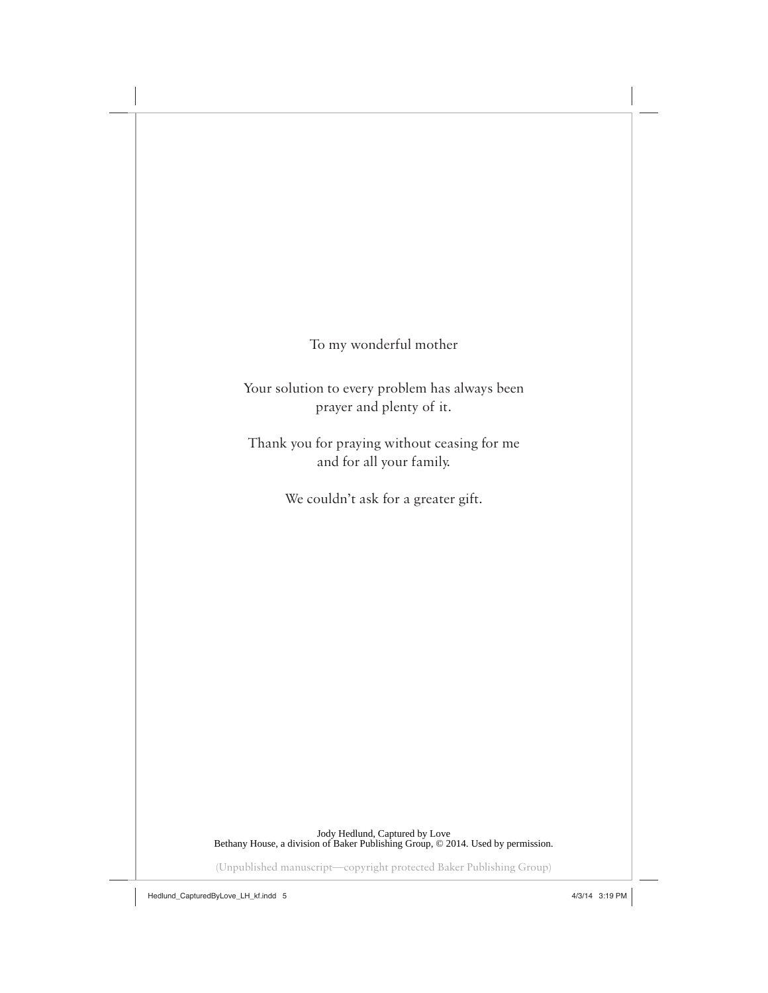To my wonderful mother

Your solution to every problem has always been prayer and plenty of it.

Thank you for praying without ceasing for me and for all your family.

We couldn't ask for a greater gift.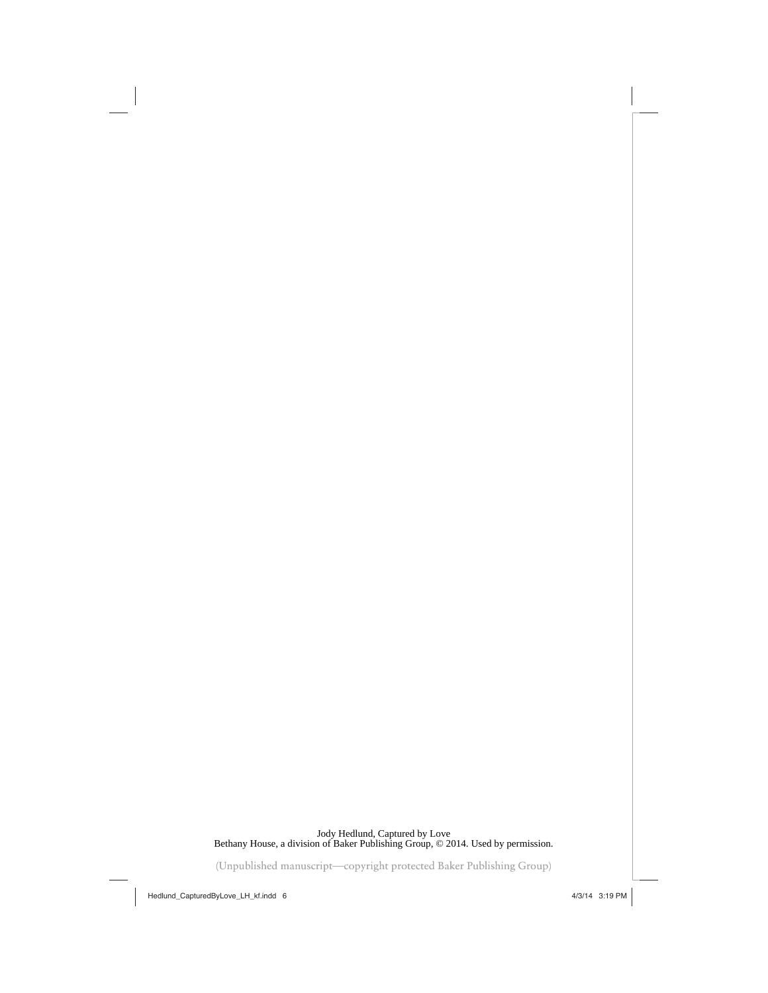Jody Hedlund, Captured by Love Bethany House, a division of Baker Publishing Group, © 2014. Used by permission.

(Unpublished manuscript—copyright protected Baker Publishing Group)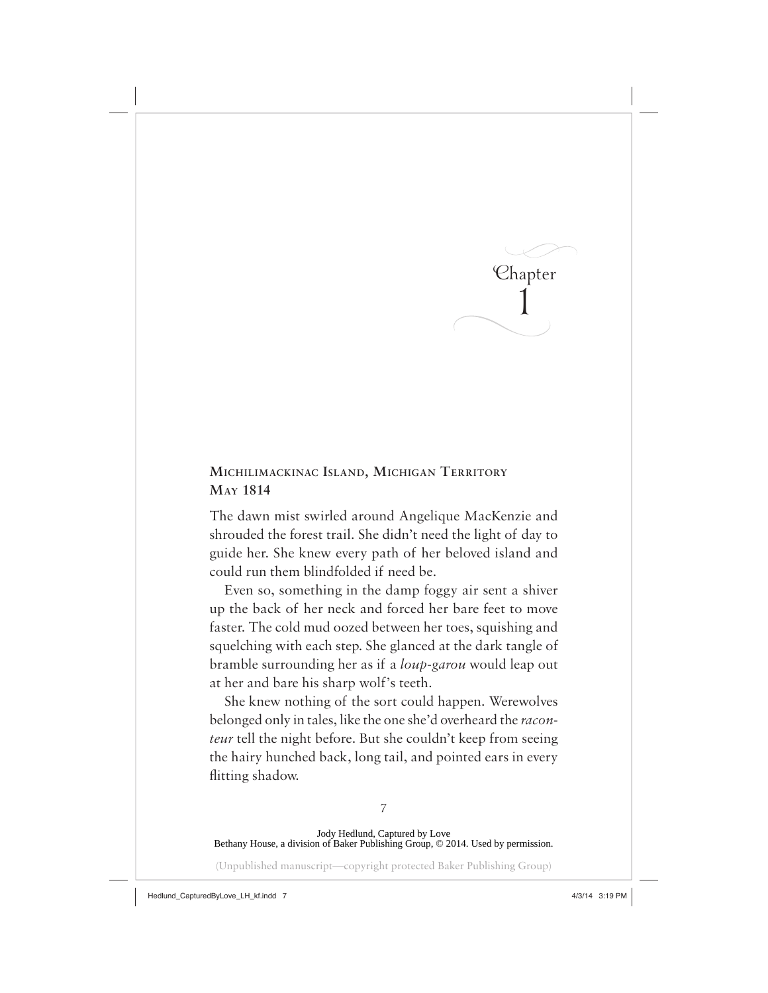

# **MICHILIMACKINAC ISLAND, MICHIGAN TERRITORY MAY 1814**

The dawn mist swirled around Angelique MacKenzie and shrouded the forest trail. She didn't need the light of day to guide her. She knew every path of her beloved island and could run them blindfolded if need be.

Even so, something in the damp foggy air sent a shiver up the back of her neck and forced her bare feet to move faster. The cold mud oozed between her toes, squishing and squelching with each step. She glanced at the dark tangle of bramble surrounding her as if a *loup-garou* would leap out at her and bare his sharp wolf's teeth.

She knew nothing of the sort could happen. Werewolves belonged only in tales, like the one she'd overheard the *raconteur* tell the night before. But she couldn't keep from seeing the hairy hunched back, long tail, and pointed ears in every flitting shadow.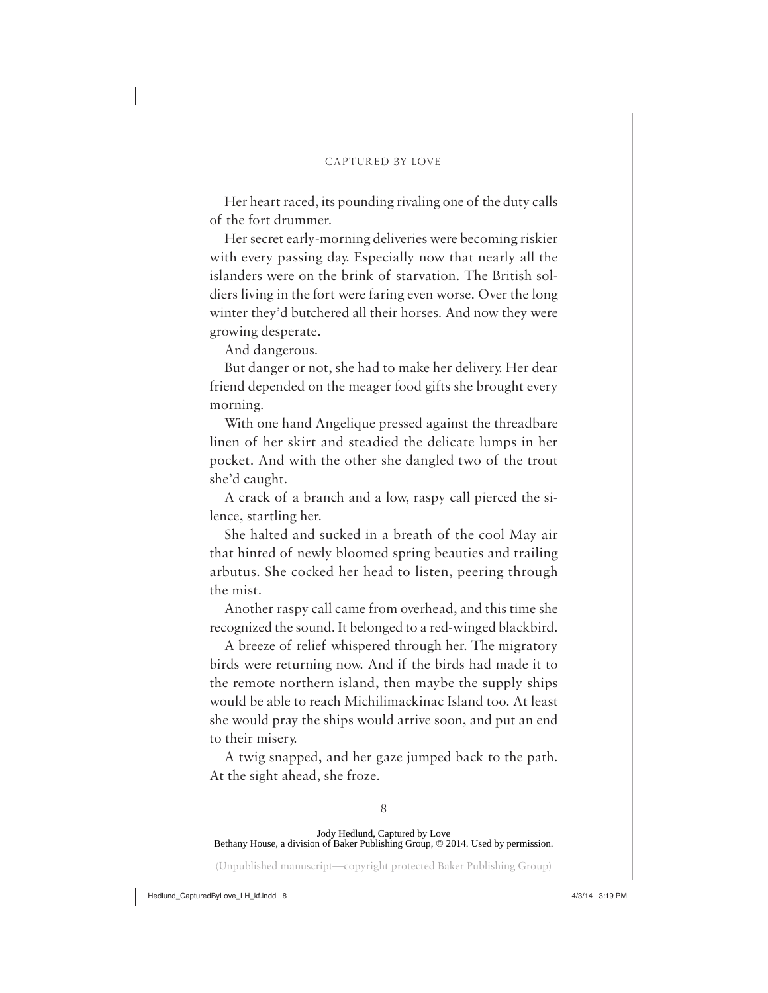Her heart raced, its pounding rivaling one of the duty calls of the fort drummer.

Her secret early-morning deliveries were becoming riskier with every passing day. Especially now that nearly all the islanders were on the brink of starvation. The British soldiers living in the fort were faring even worse. Over the long winter they'd butchered all their horses. And now they were growing desperate.

And dangerous.

But danger or not, she had to make her delivery. Her dear friend depended on the meager food gifts she brought every morning.

With one hand Angelique pressed against the threadbare linen of her skirt and steadied the delicate lumps in her pocket. And with the other she dangled two of the trout she'd caught.

A crack of a branch and a low, raspy call pierced the silence, startling her.

She halted and sucked in a breath of the cool May air that hinted of newly bloomed spring beauties and trailing arbutus. She cocked her head to listen, peering through the mist.

Another raspy call came from overhead, and this time she recognized the sound. It belonged to a red-winged blackbird.

A breeze of relief whispered through her. The migratory birds were returning now. And if the birds had made it to the remote northern island, then maybe the supply ships would be able to reach Michilimackinac Island too. At least she would pray the ships would arrive soon, and put an end to their misery.

A twig snapped, and her gaze jumped back to the path. At the sight ahead, she froze.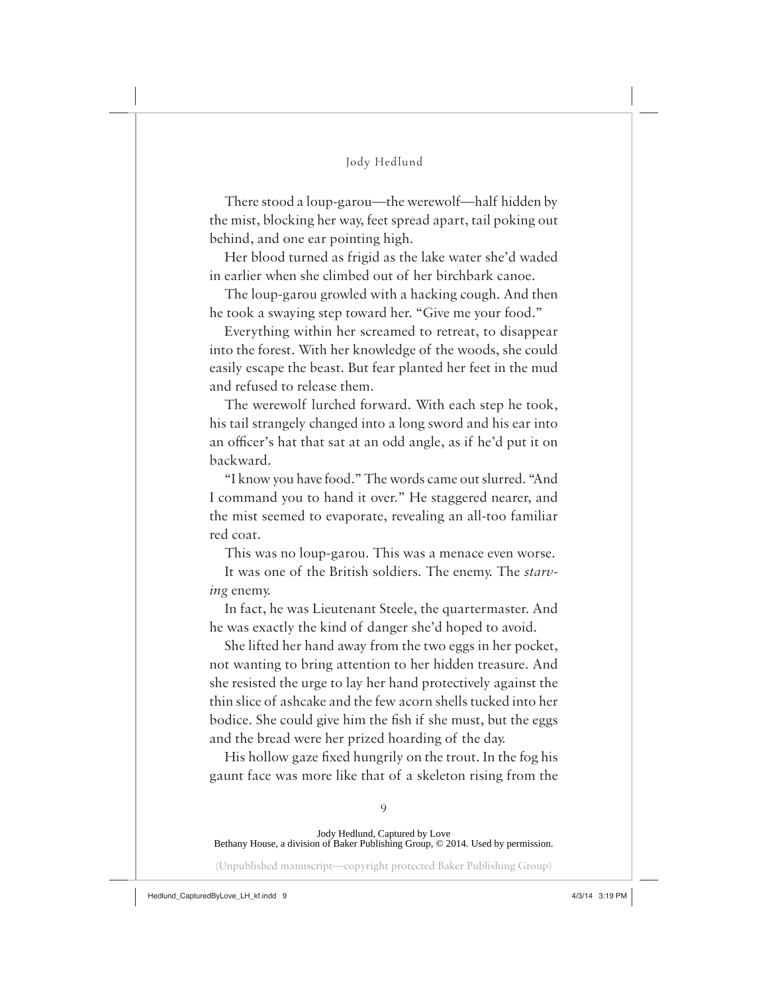There stood a loup-garou—the werewolf—half hidden by the mist, blocking her way, feet spread apart, tail poking out behind, and one ear pointing high.

Her blood turned as frigid as the lake water she'd waded in earlier when she climbed out of her birchbark canoe.

The loup-garou growled with a hacking cough. And then he took a swaying step toward her. "Give me your food."

Everything within her screamed to retreat, to disappear into the forest. With her knowledge of the woods, she could easily escape the beast. But fear planted her feet in the mud and refused to release them.

The werewolf lurched forward. With each step he took, his tail strangely changed into a long sword and his ear into an officer's hat that sat at an odd angle, as if he'd put it on backward.

"I know you have food." The words came out slurred. "And I command you to hand it over." He staggered nearer, and the mist seemed to evaporate, revealing an all-too familiar red coat.

This was no loup-garou. This was a menace even worse.

It was one of the British soldiers. The enemy. The *starving* enemy.

In fact, he was Lieutenant Steele, the quartermaster. And he was exactly the kind of danger she'd hoped to avoid.

She lifted her hand away from the two eggs in her pocket, not wanting to bring attention to her hidden treasure. And she resisted the urge to lay her hand protectively against the thin slice of ashcake and the few acorn shells tucked into her bodice. She could give him the fish if she must, but the eggs and the bread were her prized hoarding of the day.

His hollow gaze fixed hungrily on the trout. In the fog his gaunt face was more like that of a skeleton rising from the

9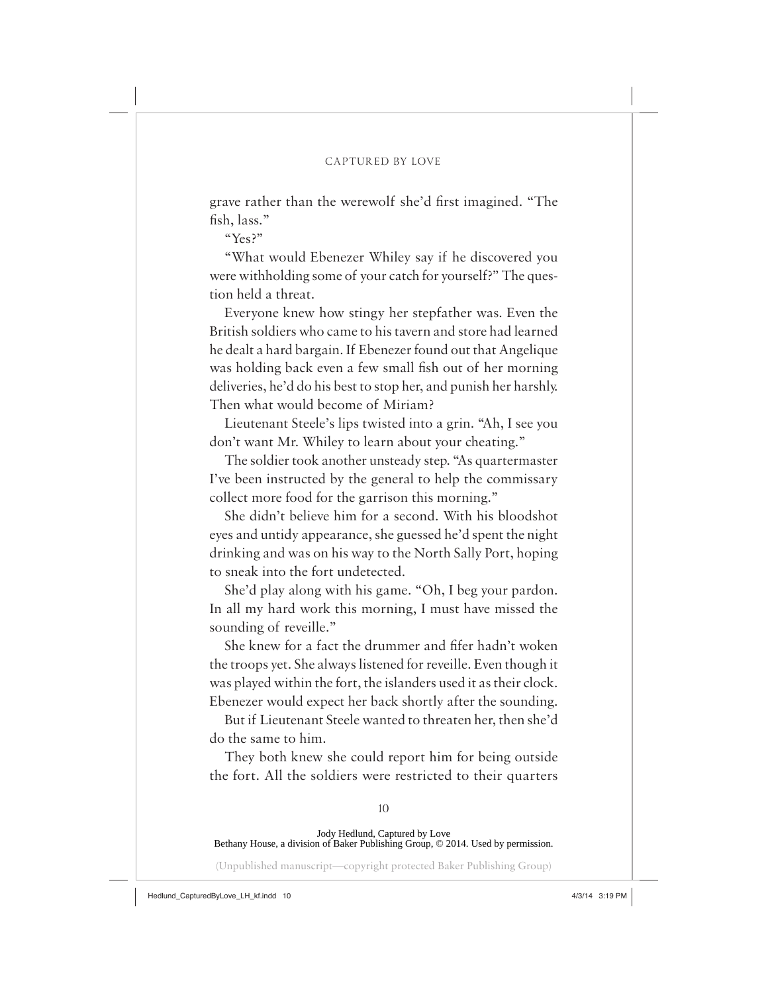grave rather than the werewolf she'd first imagined. "The fish, lass."

"Yes?"

"What would Ebenezer Whiley say if he discovered you were withholding some of your catch for yourself?" The question held a threat.

Everyone knew how stingy her stepfather was. Even the British soldiers who came to his tavern and store had learned he dealt a hard bargain. If Ebenezer found out that Angelique was holding back even a few small fish out of her morning deliveries, he'd do his best to stop her, and punish her harshly. Then what would become of Miriam?

Lieutenant Steele's lips twisted into a grin. "Ah, I see you don't want Mr. Whiley to learn about your cheating."

The soldier took another unsteady step. "As quartermaster I've been instructed by the general to help the commissary collect more food for the garrison this morning."

She didn't believe him for a second. With his bloodshot eyes and untidy appearance, she guessed he'd spent the night drinking and was on his way to the North Sally Port, hoping to sneak into the fort undetected.

She'd play along with his game. "Oh, I beg your pardon. In all my hard work this morning, I must have missed the sounding of reveille."

She knew for a fact the drummer and fifer hadn't woken the troops yet. She always listened for reveille. Even though it was played within the fort, the islanders used it as their clock. Ebenezer would expect her back shortly after the sounding.

But if Lieutenant Steele wanted to threaten her, then she'd do the same to him.

They both knew she could report him for being outside the fort. All the soldiers were restricted to their quarters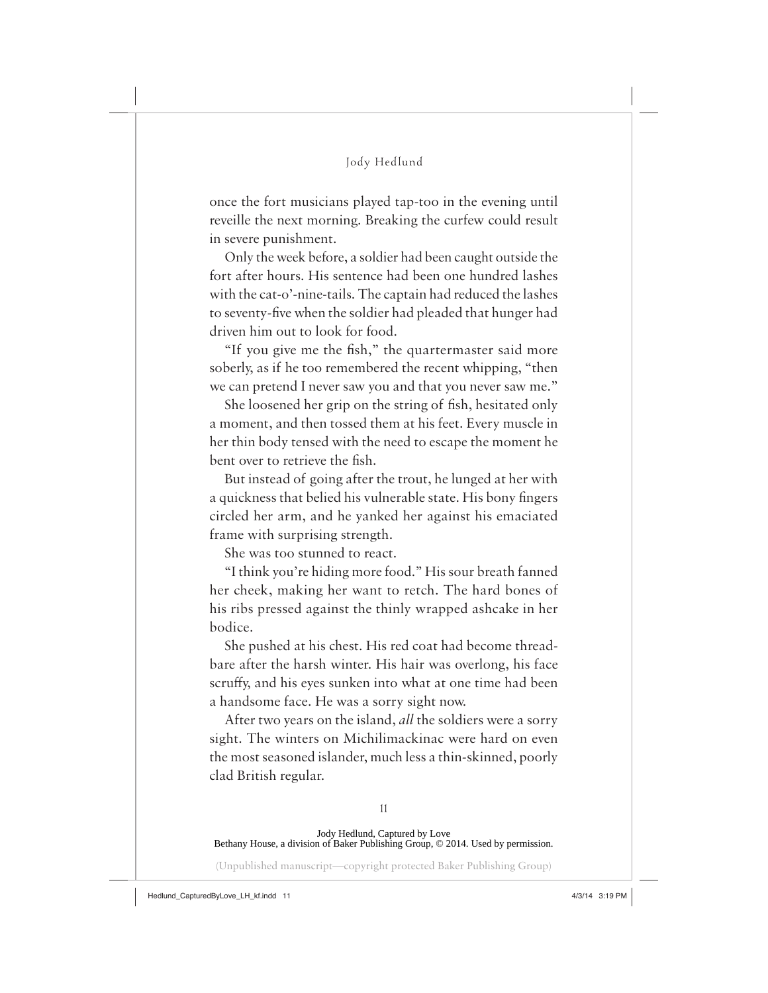once the fort musicians played tap-too in the evening until reveille the next morning. Breaking the curfew could result in severe punishment.

Only the week before, a soldier had been caught outside the fort after hours. His sentence had been one hundred lashes with the cat-o'-nine-tails. The captain had reduced the lashes to seventy-five when the soldier had pleaded that hunger had driven him out to look for food.

"If you give me the fish," the quartermaster said more soberly, as if he too remembered the recent whipping, "then we can pretend I never saw you and that you never saw me."

She loosened her grip on the string of fish, hesitated only a moment, and then tossed them at his feet. Every muscle in her thin body tensed with the need to escape the moment he bent over to retrieve the fish.

But instead of going after the trout, he lunged at her with a quickness that belied his vulnerable state. His bony fingers circled her arm, and he yanked her against his emaciated frame with surprising strength.

She was too stunned to react.

"I think you're hiding more food." His sour breath fanned her cheek, making her want to retch. The hard bones of his ribs pressed against the thinly wrapped ashcake in her bodice.

She pushed at his chest. His red coat had become threadbare after the harsh winter. His hair was overlong, his face scruffy, and his eyes sunken into what at one time had been a handsome face. He was a sorry sight now.

After two years on the island, *all* the soldiers were a sorry sight. The winters on Michilimackinac were hard on even the most seasoned islander, much less a thin-skinned, poorly clad British regular.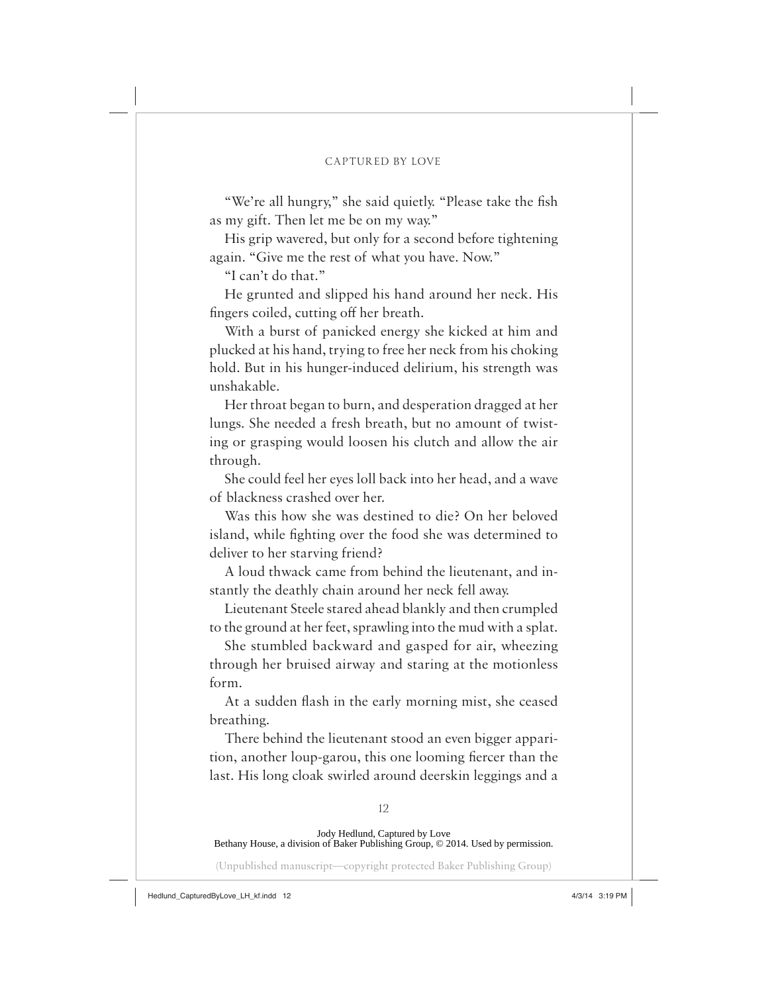"We're all hungry," she said quietly. "Please take the fish as my gift. Then let me be on my way."

His grip wavered, but only for a second before tightening again. "Give me the rest of what you have. Now."

"I can't do that."

He grunted and slipped his hand around her neck. His fingers coiled, cutting off her breath.

With a burst of panicked energy she kicked at him and plucked at his hand, trying to free her neck from his choking hold. But in his hunger-induced delirium, his strength was unshakable.

Her throat began to burn, and desperation dragged at her lungs. She needed a fresh breath, but no amount of twisting or grasping would loosen his clutch and allow the air through.

She could feel her eyes loll back into her head, and a wave of blackness crashed over her.

Was this how she was destined to die? On her beloved island, while fighting over the food she was determined to deliver to her starving friend?

A loud thwack came from behind the lieutenant, and instantly the deathly chain around her neck fell away.

Lieutenant Steele stared ahead blankly and then crumpled to the ground at her feet, sprawling into the mud with a splat.

She stumbled backward and gasped for air, wheezing through her bruised airway and staring at the motionless form.

At a sudden flash in the early morning mist, she ceased breathing.

There behind the lieutenant stood an even bigger apparition, another loup-garou, this one looming fiercer than the last. His long cloak swirled around deerskin leggings and a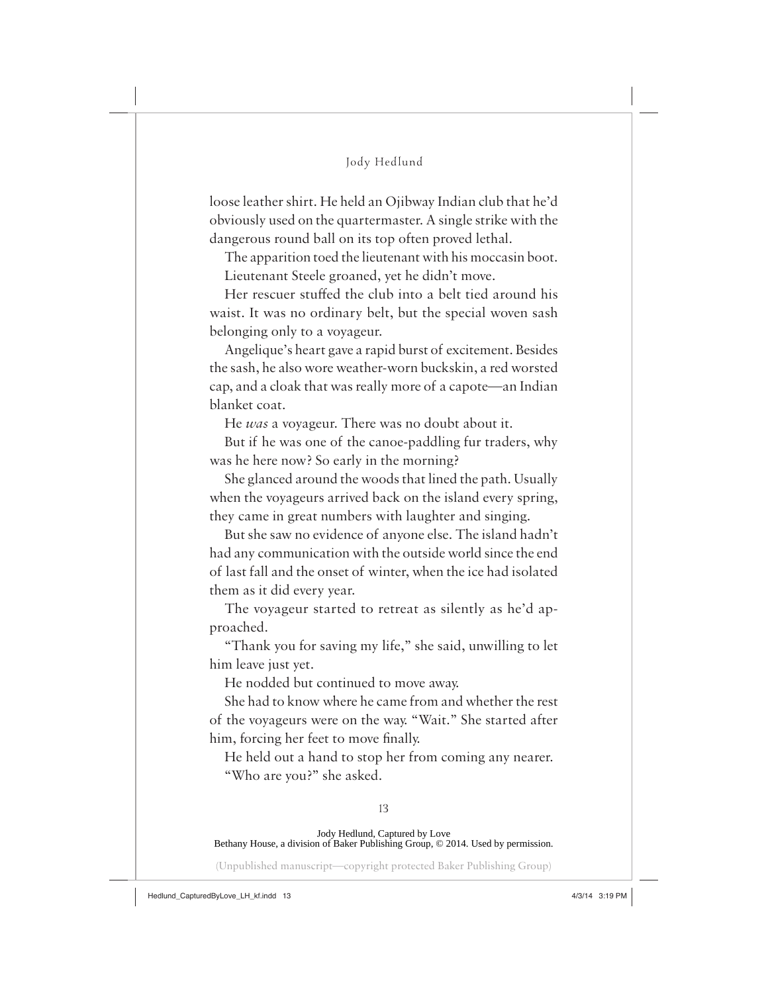loose leather shirt. He held an Ojibway Indian club that he'd obviously used on the quartermaster. A single strike with the dangerous round ball on its top often proved lethal.

The apparition toed the lieutenant with his moccasin boot. Lieutenant Steele groaned, yet he didn't move.

Her rescuer stuffed the club into a belt tied around his waist. It was no ordinary belt, but the special woven sash belonging only to a voyageur.

Angelique's heart gave a rapid burst of excitement. Besides the sash, he also wore weather-worn buckskin, a red worsted cap, and a cloak that was really more of a capote—an Indian blanket coat.

He *was* a voyageur. There was no doubt about it.

But if he was one of the canoe-paddling fur traders, why was he here now? So early in the morning?

She glanced around the woods that lined the path. Usually when the voyageurs arrived back on the island every spring, they came in great numbers with laughter and singing.

But she saw no evidence of anyone else. The island hadn't had any communication with the outside world since the end of last fall and the onset of winter, when the ice had isolated them as it did every year.

The voyageur started to retreat as silently as he'd approached.

"Thank you for saving my life," she said, unwilling to let him leave just yet.

He nodded but continued to move away.

She had to know where he came from and whether the rest of the voyageurs were on the way. "Wait." She started after him, forcing her feet to move finally.

He held out a hand to stop her from coming any nearer. "Who are you?" she asked.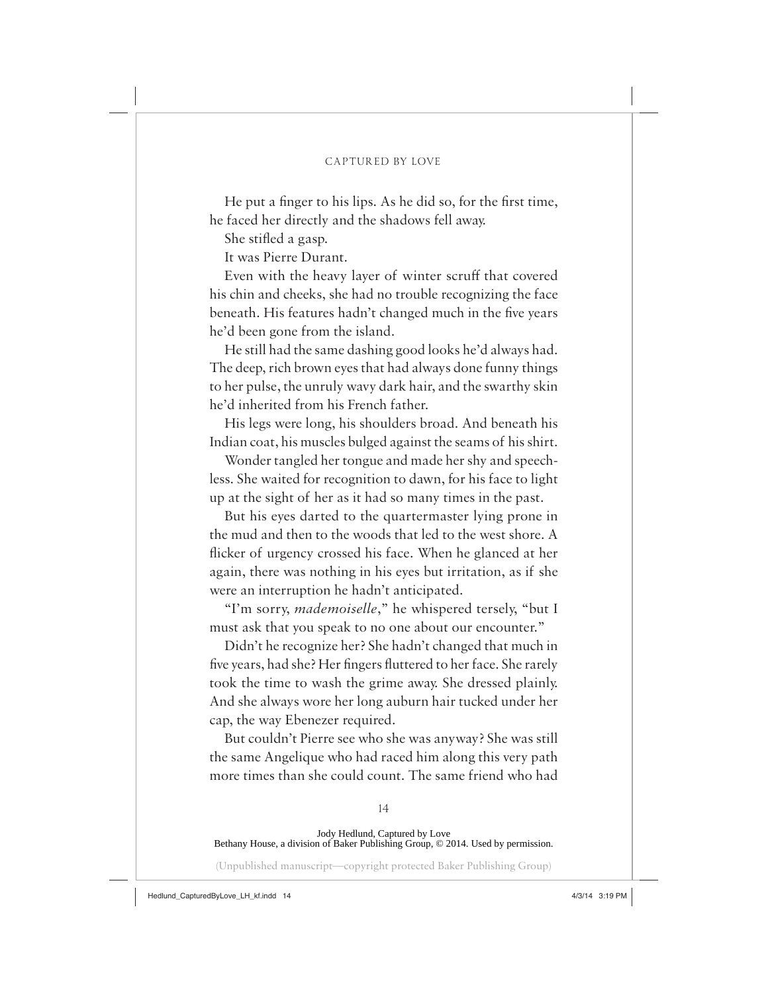### CAPTURED BY LOVE

He put a finger to his lips. As he did so, for the first time, he faced her directly and the shadows fell away.

She stifled a gasp.

It was Pierre Durant.

Even with the heavy layer of winter scruff that covered his chin and cheeks, she had no trouble recognizing the face beneath. His features hadn't changed much in the five years he'd been gone from the island.

He still had the same dashing good looks he'd always had. The deep, rich brown eyes that had always done funny things to her pulse, the unruly wavy dark hair, and the swarthy skin he'd inherited from his French father.

His legs were long, his shoulders broad. And beneath his Indian coat, his muscles bulged against the seams of his shirt.

Wonder tangled her tongue and made her shy and speechless. She waited for recognition to dawn, for his face to light up at the sight of her as it had so many times in the past.

But his eyes darted to the quartermaster lying prone in the mud and then to the woods that led to the west shore. A flicker of urgency crossed his face. When he glanced at her again, there was nothing in his eyes but irritation, as if she were an interruption he hadn't anticipated.

"I'm sorry, *mademoiselle*," he whispered tersely, "but I must ask that you speak to no one about our encounter."

Didn't he recognize her? She hadn't changed that much in five years, had she? Her fingers fluttered to her face. She rarely took the time to wash the grime away. She dressed plainly. And she always wore her long auburn hair tucked under her cap, the way Ebenezer required.

But couldn't Pierre see who she was anyway? She was still the same Angelique who had raced him along this very path more times than she could count. The same friend who had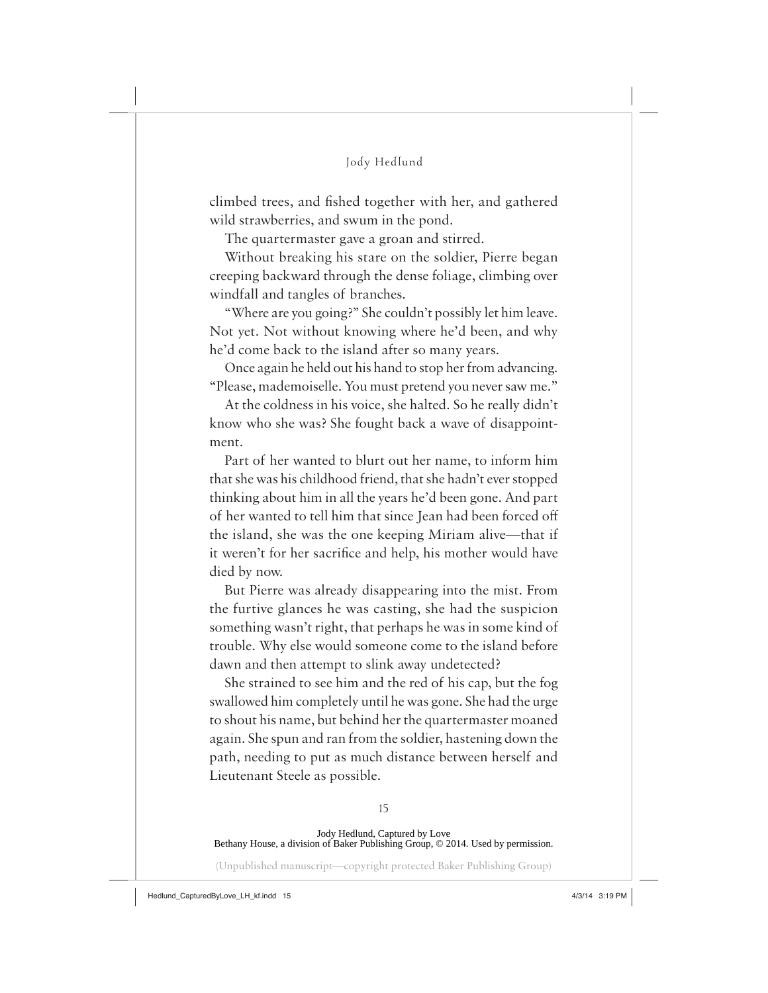climbed trees, and fished together with her, and gathered wild strawberries, and swum in the pond.

The quartermaster gave a groan and stirred.

Without breaking his stare on the soldier, Pierre began creeping backward through the dense foliage, climbing over windfall and tangles of branches.

"Where are you going?" She couldn't possibly let him leave. Not yet. Not without knowing where he'd been, and why he'd come back to the island after so many years.

Once again he held out his hand to stop her from advancing. "Please, mademoiselle. You must pretend you never saw me."

At the coldness in his voice, she halted. So he really didn't know who she was? She fought back a wave of disappointment.

Part of her wanted to blurt out her name, to inform him that she was his childhood friend, that she hadn't ever stopped thinking about him in all the years he'd been gone. And part of her wanted to tell him that since Jean had been forced off the island, she was the one keeping Miriam alive—that if it weren't for her sacrifice and help, his mother would have died by now.

But Pierre was already disappearing into the mist. From the furtive glances he was casting, she had the suspicion something wasn't right, that perhaps he was in some kind of trouble. Why else would someone come to the island before dawn and then attempt to slink away undetected?

She strained to see him and the red of his cap, but the fog swallowed him completely until he was gone. She had the urge to shout his name, but behind her the quartermaster moaned again. She spun and ran from the soldier, hastening down the path, needing to put as much distance between herself and Lieutenant Steele as possible.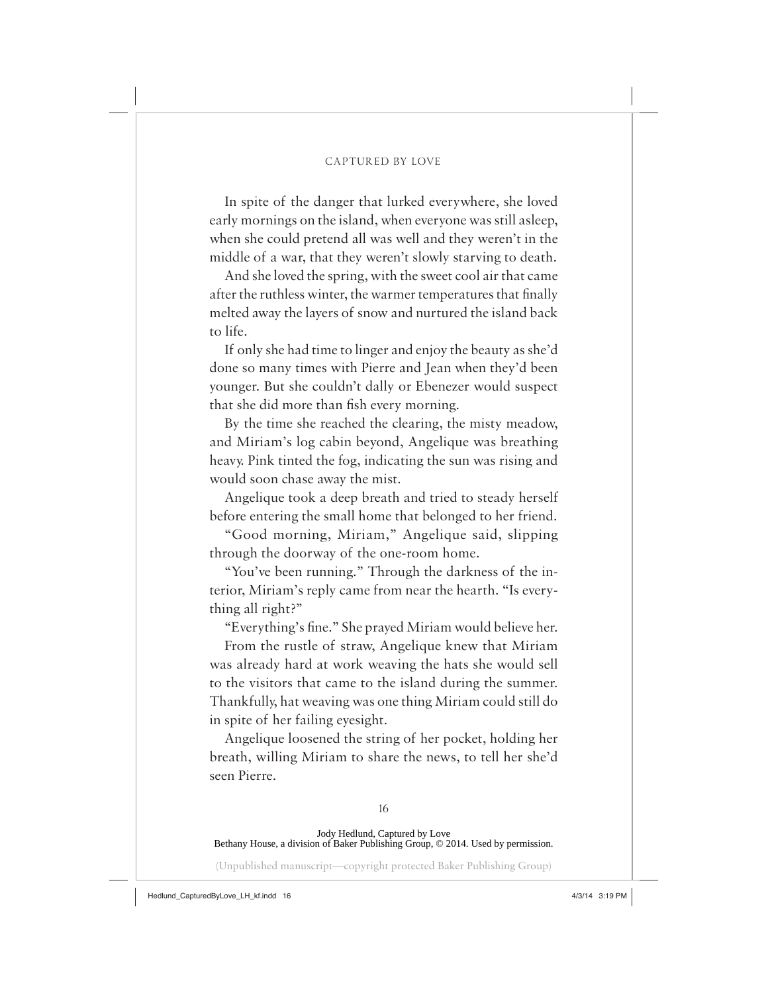In spite of the danger that lurked everywhere, she loved early mornings on the island, when everyone was still asleep, when she could pretend all was well and they weren't in the middle of a war, that they weren't slowly starving to death.

And she loved the spring, with the sweet cool air that came after the ruthless winter, the warmer temperatures that finally melted away the layers of snow and nurtured the island back to life.

If only she had time to linger and enjoy the beauty as she'd done so many times with Pierre and Jean when they'd been younger. But she couldn't dally or Ebenezer would suspect that she did more than fish every morning.

By the time she reached the clearing, the misty meadow, and Miriam's log cabin beyond, Angelique was breathing heavy. Pink tinted the fog, indicating the sun was rising and would soon chase away the mist.

Angelique took a deep breath and tried to steady herself before entering the small home that belonged to her friend.

"Good morning, Miriam," Angelique said, slipping through the doorway of the one-room home.

"You've been running." Through the darkness of the interior, Miriam's reply came from near the hearth. "Is everything all right?"

"Everything's fine." She prayed Miriam would believe her.

From the rustle of straw, Angelique knew that Miriam was already hard at work weaving the hats she would sell to the visitors that came to the island during the summer. Thankfully, hat weaving was one thing Miriam could still do in spite of her failing eyesight.

Angelique loosened the string of her pocket, holding her breath, willing Miriam to share the news, to tell her she'd seen Pierre.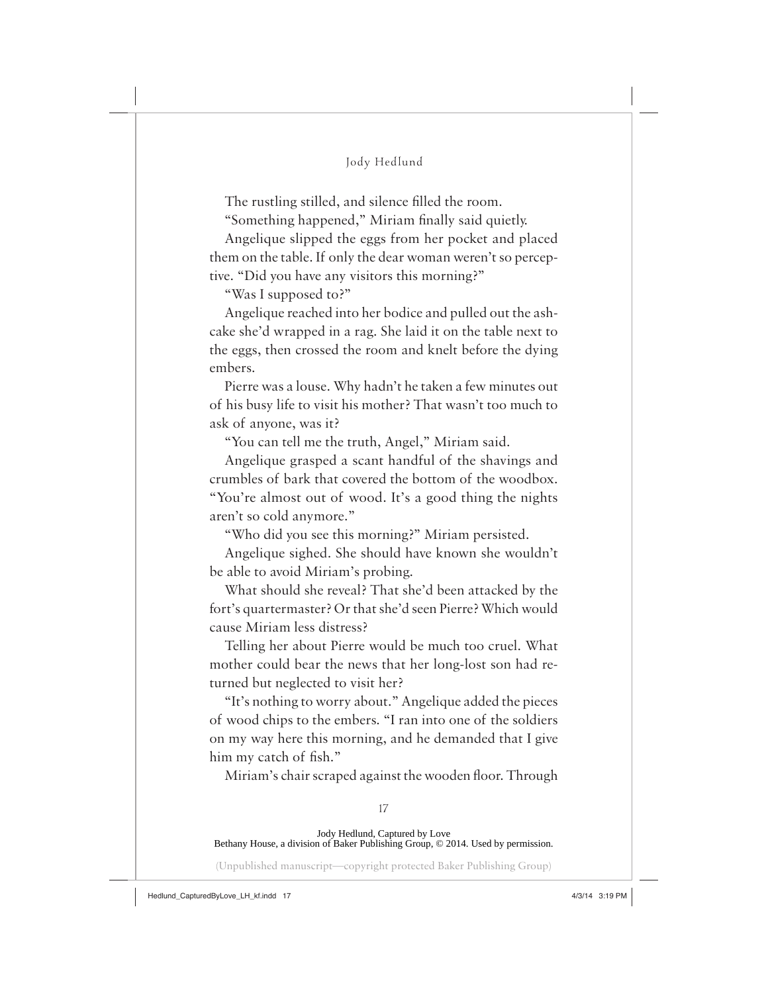The rustling stilled, and silence filled the room.

"Something happened," Miriam finally said quietly.

Angelique slipped the eggs from her pocket and placed them on the table. If only the dear woman weren't so perceptive. "Did you have any visitors this morning?"

"Was I supposed to?"

Angelique reached into her bodice and pulled out the ashcake she'd wrapped in a rag. She laid it on the table next to the eggs, then crossed the room and knelt before the dying embers.

Pierre was a louse. Why hadn't he taken a few minutes out of his busy life to visit his mother? That wasn't too much to ask of anyone, was it?

"You can tell me the truth, Angel," Miriam said.

Angelique grasped a scant handful of the shavings and crumbles of bark that covered the bottom of the woodbox. "You're almost out of wood. It's a good thing the nights aren't so cold anymore."

"Who did you see this morning?" Miriam persisted.

Angelique sighed. She should have known she wouldn't be able to avoid Miriam's probing.

What should she reveal? That she'd been attacked by the fort's quartermaster? Or that she'd seen Pierre? Which would cause Miriam less distress?

Telling her about Pierre would be much too cruel. What mother could bear the news that her long-lost son had returned but neglected to visit her?

"It's nothing to worry about." Angelique added the pieces of wood chips to the embers. "I ran into one of the soldiers on my way here this morning, and he demanded that I give him my catch of fish."

Miriam's chair scraped against the wooden floor. Through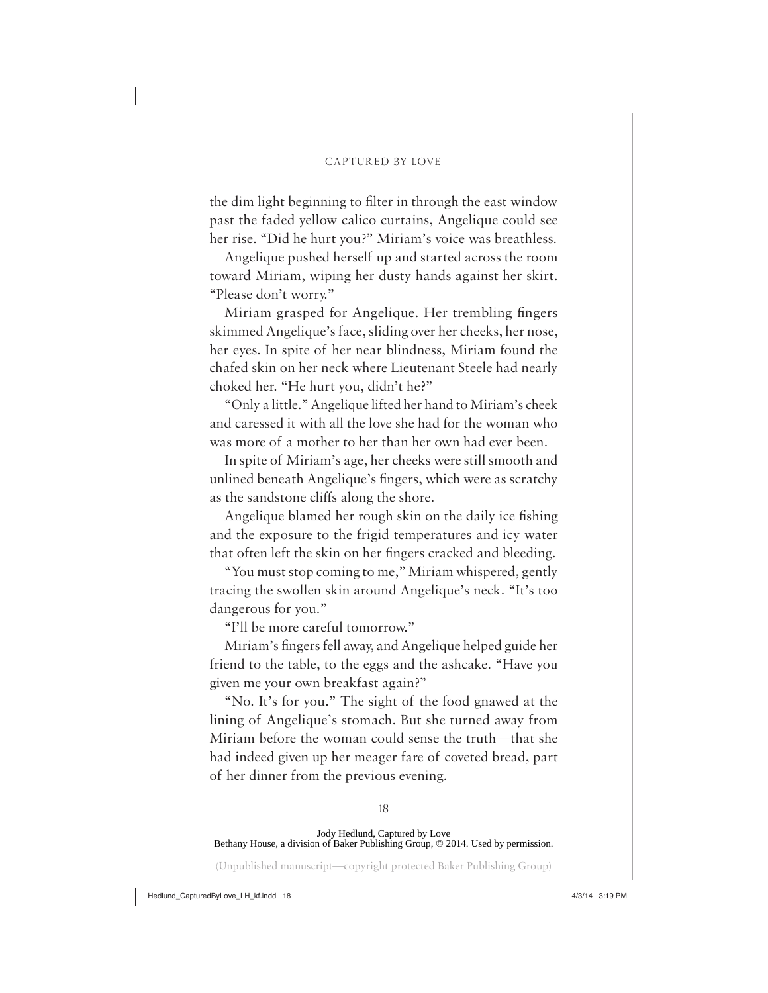the dim light beginning to filter in through the east window past the faded yellow calico curtains, Angelique could see her rise. "Did he hurt you?" Miriam's voice was breathless.

Angelique pushed herself up and started across the room toward Miriam, wiping her dusty hands against her skirt. "Please don't worry."

Miriam grasped for Angelique. Her trembling fingers skimmed Angelique's face, sliding over her cheeks, her nose, her eyes. In spite of her near blindness, Miriam found the chafed skin on her neck where Lieutenant Steele had nearly choked her. "He hurt you, didn't he?"

"Only a little." Angelique lifted her hand to Miriam's cheek and caressed it with all the love she had for the woman who was more of a mother to her than her own had ever been.

In spite of Miriam's age, her cheeks were still smooth and unlined beneath Angelique's fingers, which were as scratchy as the sandstone cliffs along the shore.

Angelique blamed her rough skin on the daily ice fishing and the exposure to the frigid temperatures and icy water that often left the skin on her fingers cracked and bleeding.

"You must stop coming to me," Miriam whispered, gently tracing the swollen skin around Angelique's neck. "It's too dangerous for you."

"I'll be more careful tomorrow."

Miriam's fingers fell away, and Angelique helped guide her friend to the table, to the eggs and the ashcake. "Have you given me your own breakfast again?"

"No. It's for you." The sight of the food gnawed at the lining of Angelique's stomach. But she turned away from Miriam before the woman could sense the truth—that she had indeed given up her meager fare of coveted bread, part of her dinner from the previous evening.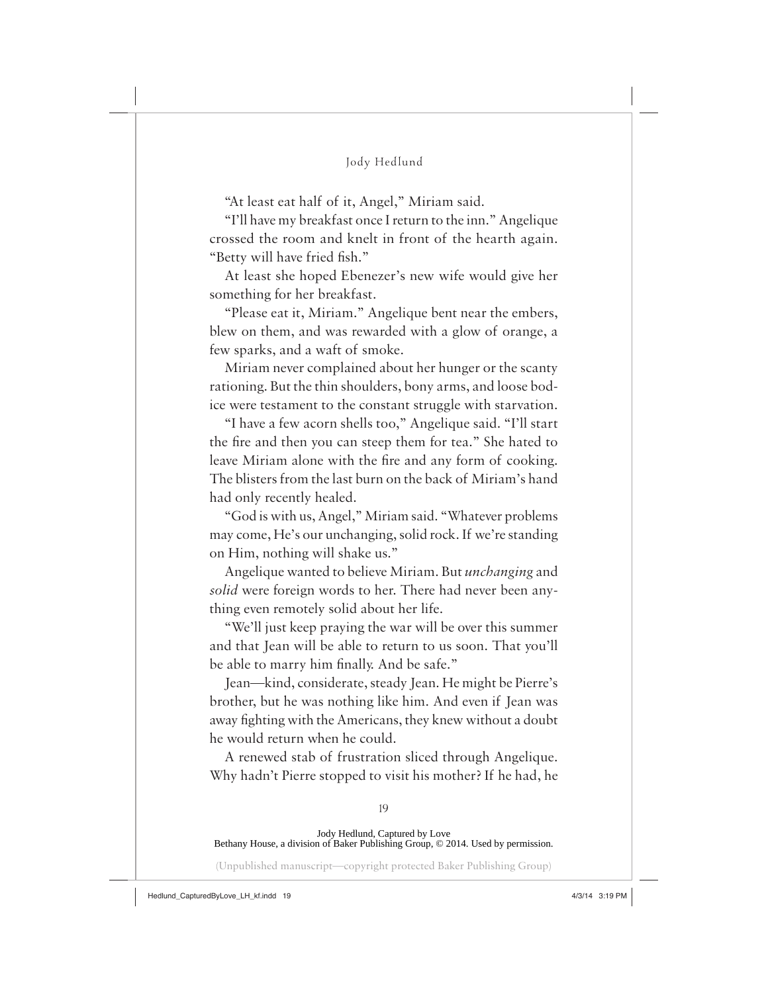"At least eat half of it, Angel," Miriam said.

"I'll have my breakfast once I return to the inn." Angelique crossed the room and knelt in front of the hearth again. "Betty will have fried fish."

At least she hoped Ebenezer's new wife would give her something for her breakfast.

"Please eat it, Miriam." Angelique bent near the embers, blew on them, and was rewarded with a glow of orange, a few sparks, and a waft of smoke.

Miriam never complained about her hunger or the scanty rationing. But the thin shoulders, bony arms, and loose bodice were testament to the constant struggle with starvation.

"I have a few acorn shells too," Angelique said. "I'll start the fire and then you can steep them for tea." She hated to leave Miriam alone with the fire and any form of cooking. The blisters from the last burn on the back of Miriam's hand had only recently healed.

"God is with us, Angel," Miriam said. "Whatever problems may come, He's our unchanging, solid rock. If we're standing on Him, nothing will shake us."

Angelique wanted to believe Miriam. But *unchanging* and *solid* were foreign words to her. There had never been anything even remotely solid about her life.

"We'll just keep praying the war will be over this summer and that Jean will be able to return to us soon. That you'll be able to marry him finally. And be safe."

Jean—kind, considerate, steady Jean. He might be Pierre's brother, but he was nothing like him. And even if Jean was away fighting with the Americans, they knew without a doubt he would return when he could.

A renewed stab of frustration sliced through Angelique. Why hadn't Pierre stopped to visit his mother? If he had, he